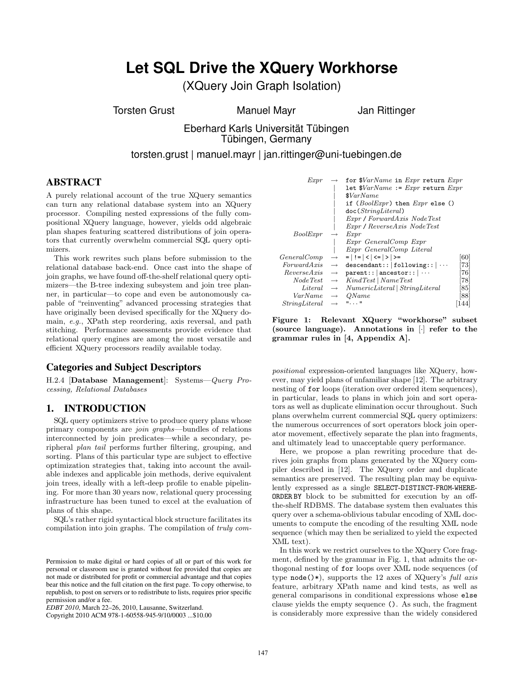# **Let SQL Drive the XQuery Workhorse**

(XQuery Join Graph Isolation)

Torsten Grust **Manuel Mayr** Jan Rittinger

Eberhard Karls Universität Tübingen Tübingen, Germany

torsten.grust | manuel.mayr | jan.rittinger@uni-tuebingen.de

## ABSTRACT

A purely relational account of the true XQuery semantics can turn any relational database system into an XQuery processor. Compiling nested expressions of the fully compositional XQuery language, however, yields odd algebraic plan shapes featuring scattered distributions of join operators that currently overwhelm commercial SQL query optimizers.

This work rewrites such plans before submission to the relational database back-end. Once cast into the shape of join graphs, we have found off-the-shelf relational query optimizers—the B-tree indexing subsystem and join tree planner, in particular—to cope and even be autonomously capable of "reinventing" advanced processing strategies that have originally been devised specifically for the XQuery domain, e.g., XPath step reordering, axis reversal, and path stitching. Performance assessments provide evidence that relational query engines are among the most versatile and efficient XQuery processors readily available today.

## Categories and Subject Descriptors

H.2.4 [Database Management]: Systems—Query Processing, Relational Databases

## 1. INTRODUCTION

SQL query optimizers strive to produce query plans whose primary components are join graphs—bundles of relations interconnected by join predicates—while a secondary, peripheral plan tail performs further filtering, grouping, and sorting. Plans of this particular type are subject to effective optimization strategies that, taking into account the available indexes and applicable join methods, derive equivalent join trees, ideally with a left-deep profile to enable pipelining. For more than 30 years now, relational query processing infrastructure has been tuned to excel at the evaluation of plans of this shape.

SQL's rather rigid syntactical block structure facilitates its compilation into join graphs. The compilation of truly com-

Copyright 2010 ACM 978-1-60558-945-9/10/0003 ...\$10.00

| $_{Expr}$          |                   | for \$VarName in Expr return Expr              |                    |
|--------------------|-------------------|------------------------------------------------|--------------------|
|                    |                   | let $\frac{1}{2}VarName := Expr$ return $Expr$ |                    |
|                    |                   | \$VarName                                      |                    |
|                    |                   | if $(BoolExpr)$ then $Expr$ else ()            |                    |
|                    |                   | doc(Strina Literal)                            |                    |
|                    |                   | Expr / ForwardAxis NodeTest                    |                    |
|                    |                   | Expr / ReverseAxis NodeTest                    |                    |
| BoolExpr           |                   | Expr                                           |                    |
|                    |                   | Expr GeneralComp Expr                          |                    |
|                    |                   | Expr GeneralComp Literal                       |                    |
| GeneralComp        | $\longrightarrow$ | $=     =   <   ==   >   > =$                   | [60]               |
| <i>ForwardAxis</i> | $\longrightarrow$ | descendant::  following::                      | [73]               |
| ReverseAxis        | $\longrightarrow$ | $parent:: $ ancestor:: $ $                     | 76                 |
| Node Test          | $\longrightarrow$ | KindTest   NameTest                            | 781                |
| $\emph{Literal}$   | $\longrightarrow$ | Numeric Literal   String Literal               | $\left[ 85\right]$ |
| VarName            | $\longrightarrow$ | QName                                          | 88                 |
| StringLiteral      | $\rightarrow$     | $\mathbf{u}_{\text{max}}$                      | 144                |

Figure 1: Relevant XQuery "workhorse" subset (source language). Annotations in [·] refer to the grammar rules in [4, Appendix A].

positional expression-oriented languages like XQuery, however, may yield plans of unfamiliar shape [12]. The arbitrary nesting of for loops (iteration over ordered item sequences), in particular, leads to plans in which join and sort operators as well as duplicate elimination occur throughout. Such plans overwhelm current commercial SQL query optimizers: the numerous occurrences of sort operators block join operator movement, effectively separate the plan into fragments, and ultimately lead to unacceptable query performance.

Here, we propose a plan rewriting procedure that derives join graphs from plans generated by the XQuery compiler described in [12]. The XQuery order and duplicate semantics are preserved. The resulting plan may be equivalently expressed as a single SELECT-DISTINCT-FROM-WHERE-ORDER BY block to be submitted for execution by an offthe-shelf RDBMS. The database system then evaluates this query over a schema-oblivious tabular encoding of XML documents to compute the encoding of the resulting XML node sequence (which may then be serialized to yield the expected XML text).

In this work we restrict ourselves to the XQuery Core fragment, defined by the grammar in Fig. 1, that admits the orthogonal nesting of for loops over XML node sequences (of type node()\*), supports the 12 axes of XQuery's full axis feature, arbitrary XPath name and kind tests, as well as general comparisons in conditional expressions whose else clause yields the empty sequence (). As such, the fragment is considerably more expressive than the widely considered

Permission to make digital or hard copies of all or part of this work for personal or classroom use is granted without fee provided that copies are not made or distributed for profit or commercial advantage and that copies bear this notice and the full citation on the first page. To copy otherwise, to republish, to post on servers or to redistribute to lists, requires prior specific permission and/or a fee.

*EDBT 2010*, March 22–26, 2010, Lausanne, Switzerland.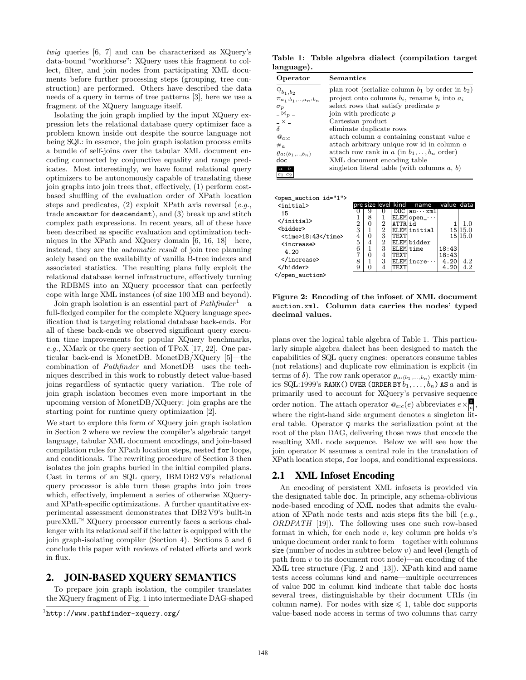twig queries [6, 7] and can be characterized as XQuery's data-bound "workhorse": XQuery uses this fragment to collect, filter, and join nodes from participating XML documents before further processing steps (grouping, tree construction) are performed. Others have described the data needs of a query in terms of tree patterns [3], here we use a fragment of the XQuery language itself.

Isolating the join graph implied by the input XQuery expression lets the relational database query optimizer face a problem known inside out despite the source language not being SQL: in essence, the join graph isolation process emits a bundle of self-joins over the tabular XML document encoding connected by conjunctive equality and range predicates. Most interestingly, we have found relational query optimizers to be autonomously capable of translating these join graphs into join trees that, effectively, (1) perform costbased shuffling of the evaluation order of XPath location steps and predicates,  $(2)$  exploit XPath axis reversal  $(e.g.,)$ trade ancestor for descendant), and (3) break up and stitch complex path expressions. In recent years, all of these have been described as specific evaluation and optimization techniques in the XPath and XQuery domain [6, 16, 18]—here, instead, they are the automatic result of join tree planning solely based on the availability of vanilla B-tree indexes and associated statistics. The resulting plans fully exploit the relational database kernel infrastructure, effectively turning the RDBMS into an XQuery processor that can perfectly cope with large XML instances (of size 100 MB and beyond).

Join graph isolation is an essential part of  $Pathfinder<sup>1</sup>$ —a full-fledged compiler for the complete XQuery language specification that is targeting relational database back-ends. For all of these back-ends we observed significant query execution time improvements for popular XQuery benchmarks, e.g., XMark or the query section of TPoX [17, 22]. One particular back-end is MonetDB. MonetDB/XQuery [5]—the combination of Pathfinder and MonetDB—uses the techniques described in this work to robustly detect value-based joins regardless of syntactic query variation. The role of join graph isolation becomes even more important in the upcoming version of MonetDB/XQuery: join graphs are the starting point for runtime query optimization [2].

We start to explore this form of XQuery join graph isolation in Section 2 where we review the compiler's algebraic target language, tabular XML document encodings, and join-based compilation rules for XPath location steps, nested for loops, and conditionals. The rewriting procedure of Section 3 then isolates the join graphs buried in the initial compiled plans. Cast in terms of an SQL query, IBM DB2 V9's relational query processor is able turn these graphs into join trees which, effectively, implement a series of otherwise XQueryand XPath-specific optimizations. A further quantitative experimental assessment demonstrates that DB2 V9's built-in pureXML™ XQuery processor currently faces a serious challenger with its relational self if the latter is equipped with the join graph-isolating compiler (Section 4). Sections 5 and 6 conclude this paper with reviews of related efforts and work in flux.

## 2. JOIN-BASED XQUERY SEMANTICS

To prepare join graph isolation, the compiler translates the XQuery fragment of Fig. 1 into intermediate DAG-shaped

Table 1: Table algebra dialect (compilation target language).

| Operator                           | Semantics                                             |
|------------------------------------|-------------------------------------------------------|
| $\heartsuit_{b_1,b_2}$             | plan root (serialize column $b_1$ by order in $b_2$ ) |
| $\pi_{a_1:b_1,\ldots,a_n:b_n}$     | project onto columns $b_i$ , rename $b_i$ into $a_i$  |
| $\sigma_p$                         | select rows that satisfy predicate p                  |
| $\mathbb{N}_p$                     | join with predicate p                                 |
| $- X -$                            | Cartesian product                                     |
| δ                                  | eliminate duplicate rows                              |
| $\mathcal{Q}_{a \cdot c}$          | attach column $a$ containing constant value $c$       |
| $\#$ a                             | attach arbitrary unique row id in column $a$          |
| $\varrho_{a:(b_1,,b_n)}$           | attach row rank in a (in $b_1, \ldots, b_n$ order)    |
| doc                                | XML document encoding table                           |
| b<br>$\boldsymbol{a}$<br>$c_1 c_2$ | singleton literal table (with columns $a, b$ )        |

<open\_auction id="1"> <initial> 15 </initial> <bidder>  $\times$ time $>$ 18:43 $\times$ /t <increase> 4.20 </increase> </bidder> </open\_auction>

|      |               |   |                |             | pre size level kind name | value data |         |
|------|---------------|---|----------------|-------------|--------------------------|------------|---------|
|      |               |   |                |             | $DOC   au \cdots xm1$    |            |         |
|      |               | 8 |                |             | $ELEM$ open $\cdots$     |            |         |
|      | $\frac{2}{3}$ | 0 | 2              | ATTRIid     |                          |            | 1.0     |
|      |               |   | $\overline{2}$ |             | ELEMinitial              |            | 15 15.0 |
| ime> | 4             | 0 | 3              | <b>TEXT</b> |                          |            | 15 15.0 |
|      | 5             | 4 | 2              |             | ELEMbidder               |            |         |
|      | 6             |   | 3              | ELEMitime   |                          | 18:43      |         |
|      |               | 0 |                | TEXT        |                          | 18:43      |         |
|      | 8             |   | 3              |             | ELEMlincre               | 4.20       | 4.2     |
|      | 9             |   |                | TEXT        |                          | 4.20       | 4.2     |

Figure 2: Encoding of the infoset of XML document auction.xml. Column data carries the nodes' typed decimal values.

plans over the logical table algebra of Table 1. This particularly simple algebra dialect has been designed to match the capabilities of SQL query engines: operators consume tables (not relations) and duplicate row elimination is explicit (in terms of  $\delta$ ). The row rank operator  $\varrho_{a:(b_1,...,b_n)}$  exactly mimics SQL:1999's RANK() OVER (ORDER BY  $b_1, \ldots, b_n$ ) AS a and is primarily used to account for XQuery's pervasive sequence order notion. The attach operator  $\mathcal{Q}_{a:c}(e)$  abbreviates  $e \times \frac{a}{|c|}$ , where the right-hand side argument denotes a singleton literal table. Operator  $\circ$  marks the serialization point at the root of the plan DAG, delivering those rows that encode the resulting XML node sequence. Below we will see how the join operator  $\bowtie$  assumes a central role in the translation of XPath location steps, for loops, and conditional expressions.

### 2.1 XML Infoset Encoding

An encoding of persistent XML infosets is provided via the designated table doc. In principle, any schema-oblivious node-based encoding of XML nodes that admits the evaluation of XPath node tests and axis steps fits the bill  $(e.g.,)$  $ORDPATH$  [19]). The following uses one such row-based format in which, for each node  $v$ , key column pre holds  $v$ 's unique document order rank to form—together with columns size (number of nodes in subtree below  $v$ ) and level (length of path from  $v$  to its document root node)—an encoding of the XML tree structure (Fig. 2 and [13]). XPath kind and name tests access columns kind and name—multiple occurrences of value DOC in column kind indicate that table doc hosts several trees, distinguishable by their document URIs (in column name). For nodes with size  $\leq 1$ , table doc supports value-based node access in terms of two columns that carry

<sup>1</sup> http://www.pathfinder-xquery.org/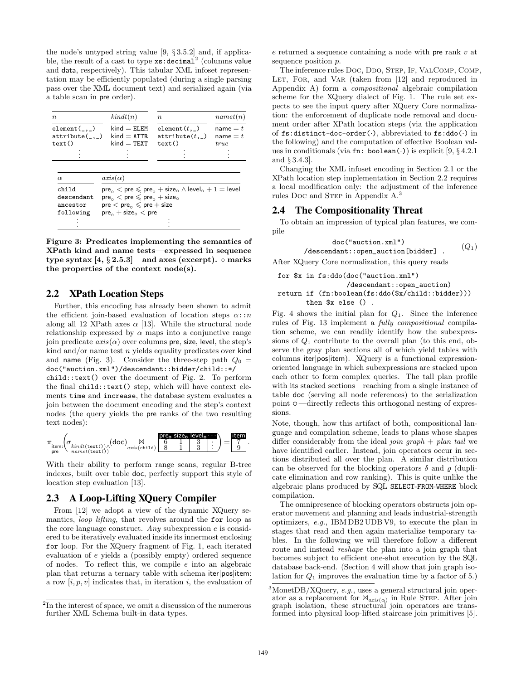the node's untyped string value [9, § 3.5.2] and, if applicable, the result of a cast to type  $\mathtt{xs:decimal}^2$  (columns value and data, respectively). This tabular XML infoset representation may be efficiently populated (during a single parsing pass over the XML document text) and serialized again (via a table scan in pre order).

| $\boldsymbol{n}$    | kindt(n)                                                           | $\boldsymbol{n}$                                                                                      | namet(n)     |  |
|---------------------|--------------------------------------------------------------------|-------------------------------------------------------------------------------------------------------|--------------|--|
| $element(\_,\_)$    | $\mathsf{kind} = \mathsf{ELEM}$                                    | element $(t, )$                                                                                       | name $=$ $t$ |  |
| $attribute(\_ \_ )$ | $\mathsf{kind} = \mathsf{ATTR}$                                    | $\texttt{attribute}(t, \cdot)$                                                                        | name $=t$    |  |
| text()              | $\mathsf{kind} = \texttt{TEXT}$                                    | text()                                                                                                | true         |  |
|                     |                                                                    |                                                                                                       |              |  |
| $\alpha$            | $axis(\alpha)$                                                     |                                                                                                       |              |  |
| child               |                                                                    | $pre_{\circ}$ $\lt$ pre $\leq$ pre $_{\circ}$ + size $_{\circ}$ $\wedge$ level $_{\circ}$ + 1 = level |              |  |
| descendant          | $pre_{\circ}$ $<$ pre $\leqslant$ pre $_{\circ}$ + size $_{\circ}$ |                                                                                                       |              |  |
| ancestor            | $pre < pre_0 \le pre + size$                                       |                                                                                                       |              |  |
| following           | $pre_{\circ} + size_{\circ} < pre$                                 |                                                                                                       |              |  |
|                     |                                                                    |                                                                                                       |              |  |
|                     |                                                                    |                                                                                                       |              |  |

Figure 3: Predicates implementing the semantics of XPath kind and name tests—expressed in sequence type syntax  $[4, \S 2.5.3]$ —and axes (excerpt).  $\circ$  marks the properties of the context node(s).

#### 2.2 XPath Location Steps

Further, this encoding has already been shown to admit the efficient join-based evaluation of location steps  $\alpha$ : n along all 12 XPath axes  $\alpha$  [13]. While the structural node relationship expressed by  $\alpha$  maps into a conjunctive range join predicate  $axis(\alpha)$  over columns pre, size, level, the step's kind and/or name test  $n$  yields equality predicates over kind and name (Fig. 3). Consider the three-step path  $Q_0 =$ doc("auction.xml")/descendant::bidder/child::\*/

child::text() over the document of Fig. 2. To perform the final child::text() step, which will have context elements time and increase, the database system evaluates a join between the document encoding and the step's context nodes (the query yields the pre ranks of the two resulting text nodes):



With their ability to perform range scans, regular B-tree indexes, built over table doc, perfectly support this style of location step evaluation [13].

### 2.3 A Loop-Lifting XQuery Compiler

From [12] we adopt a view of the dynamic XQuery semantics, loop lifting, that revolves around the for loop as the core language construct. Any subexpression  $e$  is considered to be iteratively evaluated inside its innermost enclosing for loop. For the XQuery fragment of Fig. 1, each iterated evaluation of e yields a (possibly empty) ordered sequence of nodes. To reflect this, we compile e into an algebraic plan that returns a ternary table with schema iter|pos|item: a row  $[i, p, v]$  indicates that, in iteration i, the evaluation of  $e$  returned a sequence containing a node with pre rank  $v$  at sequence position p.

The inference rules Doc, DDO, STEP, IF, VALCOMP, COMP, LET, FOR, and VAR (taken from [12] and reproduced in Appendix A) form a compositional algebraic compilation scheme for the XQuery dialect of Fig. 1. The rule set expects to see the input query after XQuery Core normalization: the enforcement of duplicate node removal and document order after XPath location steps (via the application of fs:distinct-doc-order(·), abbreviated to fs:ddo(·) in the following) and the computation of effective Boolean values in conditionals (via fn: boolean(·)) is explicit [9,  $\S 4.2.1$ and § 3.4.3].

Changing the XML infoset encoding in Section 2.1 or the XPath location step implementation in Section 2.2 requires a local modification only: the adjustment of the inference rules Doc and STEP in Appendix A.<sup>3</sup>

#### 2.4 The Compositionality Threat

To obtain an impression of typical plan features, we compile

$$
\begin{array}{cc}\texttt{doc("auction.xml")} \\ \texttt{/descendant::open_auction[bidder]} \quad . \end{array} \quad (Q_1)
$$

After XQuery Core normalization, this query reads

for \$x in fs:ddo(doc("auction.xml")

#### /descendant::open\_auction) return if (fn:boolean(fs:ddo(\$x/child::bidder))) then \$x else () .

Fig. 4 shows the initial plan for  $Q_1$ . Since the inference rules of Fig. 13 implement a fully compositional compilation scheme, we can readily identify how the subexpressions of  $Q_1$  contribute to the overall plan (to this end, observe the gray plan sections all of which yield tables with columns iter|pos|item). XQuery is a functional expressionoriented language in which subexpressions are stacked upon each other to form complex queries. The tall plan profile with its stacked sections—reaching from a single instance of table doc (serving all node references) to the serialization point  $\circ$ —directly reflects this orthogonal nesting of expressions.

Note, though, how this artifact of both, compositional language and compilation scheme, leads to plans whose shapes differ considerably from the ideal join graph  $+$  plan tail we have identified earlier. Instead, join operators occur in sections distributed all over the plan. A similar distribution can be observed for the blocking operators  $\delta$  and  $\rho$  (duplicate elimination and row ranking). This is quite unlike the algebraic plans produced by SQL SELECT-FROM-WHERE block compilation.

The omnipresence of blocking operators obstructs join operator movement and planning and leads industrial-strength optimizers, e.g., IBM DB2 UDB V9, to execute the plan in stages that read and then again materialize temporary tables. In the following we will therefore follow a different route and instead reshape the plan into a join graph that becomes subject to efficient one-shot execution by the SQL database back-end. (Section 4 will show that join graph isolation for  $Q_1$  improves the evaluation time by a factor of 5.)

<sup>&</sup>lt;sup>2</sup>In the interest of space, we omit a discussion of the numerous further XML Schema built-in data types.

 $3$ MonetDB/XQuery,  $e.g.,$  uses a general structural join operator as a replacement for  $\mathbb{M}_{axis(\alpha)}$  in Rule STEP. After join graph isolation, these structural join operators are transformed into physical loop-lifted staircase join primitives [5].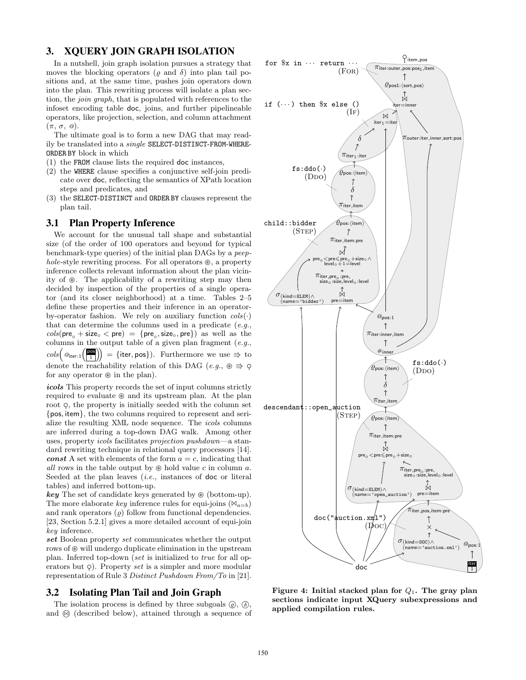#### 3. XQUERY JOIN GRAPH ISOLATION

In a nutshell, join graph isolation pursues a strategy that moves the blocking operators ( $\rho$  and  $\delta$ ) into plan tail positions and, at the same time, pushes join operators down into the plan. This rewriting process will isolate a plan section, the join graph, that is populated with references to the infoset encoding table doc, joins, and further pipelineable operators, like projection, selection, and column attachment  $(\pi, \sigma, \varnothing).$ 

The ultimate goal is to form a new DAG that may readily be translated into a single SELECT-DISTINCT-FROM-WHERE-ORDER BY block in which

- (1) the FROM clause lists the required doc instances,
- (2) the WHERE clause specifies a conjunctive self-join predicate over doc, reflecting the semantics of XPath location steps and predicates, and
- (3) the SELECT-DISTINCT and ORDER BY clauses represent the plan tail.

#### 3.1 Plan Property Inference

We account for the unusual tall shape and substantial size (of the order of 100 operators and beyond for typical benchmark-type queries) of the initial plan DAGs by a peep*hole*-style rewriting process. For all operators  $\otimes$ , a property inference collects relevant information about the plan vicinity of  $\circledast$ . The applicability of a rewriting step may then decided by inspection of the properties of a single operator (and its closer neighborhood) at a time. Tables 2–5 define these properties and their inference in an operatorby-operator fashion. We rely on auxiliary function  $\text{cols}(\cdot)$ that can determine the columns used in a predicate  $(e.g.,)$  $\text{cols}(\text{pre}_{\circ} + \text{size}_{\circ} < \text{pre}) = \{\text{pre}_{\circ}, \text{size}_{\circ}, \text{pre}\})$  as well as the columns in the output table of a given plan fragment  $(e.g.,)$  $\text{cols}(\bigcirc_{\text{iter}:1}\left(\begin{array}{c} \text{pos} \\ 1 \end{array}\right)) = \{\text{iter}, \text{pos}\}\).$  Furthermore we use  $\Rightarrow$  to denote the reachability relation of this DAG (e.g.,  $\otimes \Rightarrow \Diamond$ for any operator  $\circledast$  in the plan).

icols This property records the set of input columns strictly required to evaluate  $\circledast$  and its upstream plan. At the plan root  $\varphi$ , the property is initially seeded with the column set {pos, item}, the two columns required to represent and serialize the resulting XML node sequence. The icols columns are inferred during a top-down DAG walk. Among other uses, property icols facilitates projection pushdown—a standard rewriting technique in relational query processors [14]. const A set with elements of the form  $a = c$ , indicating that all rows in the table output by  $\otimes$  hold value c in column a. Seeded at the plan leaves  $(i.e.,$  instances of doc or literal tables) and inferred bottom-up.

 $key$  The set of candidate keys generated by  $\otimes$  (bottom-up). The more elaborate key inference rules for equi-joins ( $\mathbb{M}_{a=b}$ ) and rank operators  $(\rho)$  follow from functional dependencies. [23, Section 5.2.1] gives a more detailed account of equi-join key inference.

set Boolean property set communicates whether the output rows of  $\circledast$  will undergo duplicate elimination in the upstream plan. Inferred top-down (set is initialized to true for all operators but  $\varphi$ ). Property set is a simpler and more modular representation of Rule 3 Distinct Pushdown From/To in [21].

#### 3.2 Isolating Plan Tail and Join Graph

The isolation process is defined by three subgoals  $(\varrho, \varrho)$ , and  $\otimes$  (described below), attained through a sequence of



Figure 4: Initial stacked plan for  $Q_1$ . The gray plan sections indicate input XQuery subexpressions and applied compilation rules.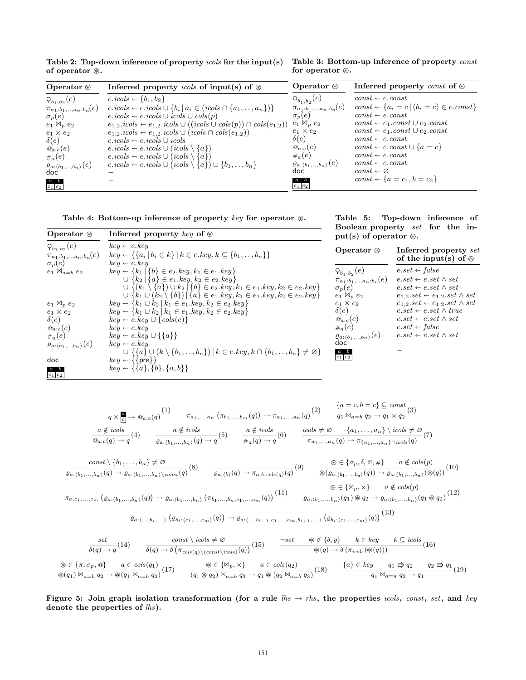Table 2: Top-down inference of property icols for the input(s) of operator  $\circledast.$ 

Table 3: Bottom-up inference of property const for operator  $\mathscr{B}$ .

Table 5: Top-down inference of

| Operator $\circledast$                              | Inferred property <i>icols</i> of input(s) of $\otimes$                                  | Operator $\circledast$                              | Inferred property const of $\otimes$                               |
|-----------------------------------------------------|------------------------------------------------------------------------------------------|-----------------------------------------------------|--------------------------------------------------------------------|
| $\varphi_{b_1,b_2}(e)$                              | $e.icols \leftarrow \{b_1, b_2\}$                                                        | $\varphi_{b_1,b_2}(e)$                              | $const \leftarrow e \cdot const$                                   |
| $\pi_{a_1:b_1, \dots, a_n:b_n}(e)$                  | $e.icols \leftarrow e.icols \cup \{b_i \mid a_i \in (icols \cap \{a_1, \ldots, a_n\})\}$ | $\pi_{a_1:b_1, \ldots, a_n:b_n}(e)$                 | $const \leftarrow \{a_i = c \mid (b_i = c) \in e \text{.const}\}\$ |
| $\sigma_p(e)$                                       | $e.icols \leftarrow e.icols \cup icols \cup cols(p)$                                     | $\sigma_p(e)$                                       | $const \leftarrow e \cdot const$                                   |
| $e_1 \bowtie_p e_2$                                 | $e_{1,2}.icols \leftarrow e_{1,2}.icols \cup ((icols \cup cols(p)) \cap cols(e_{1,2}))$  | $e_1 \bowtie_p e_2$                                 | $const \leftarrow e_1 \text{.} const \cup e_2 \text{.} const$      |
| $e_1 \times e_2$                                    | $e_{1,2}.icols \leftarrow e_{1,2}.icols \cup (icols \cap \text{cols}(e_{1,2}))$          | $e_1 \times e_2$                                    | $const \leftarrow e_1 \text{.const} \cup e_2 \text{.const}$        |
| $\delta(e)$                                         | $e.icols \leftarrow e.icols \cup icols$                                                  | $\delta(e)$                                         | $const \leftarrow e \cdot const$                                   |
| $\mathcal{Q}_{a:c}(e)$                              | $e.icols \leftarrow e.icols \cup (icols \setminus \{a\})$                                | $\mathcal{Q}_{a:c}(e)$                              | $const \leftarrow e const \cup \{a = c\}$                          |
| $\#_a(e)$                                           | $e.icols \leftarrow e.icols \cup (icols \setminus \{a\})$                                | $\#_a(e)$                                           | $const \leftarrow e \cdot const$                                   |
| $\varrho_{a:\langle b_1,,b_n\rangle}(e)$            | $e.icols \leftarrow e.icols \cup (icols \setminus \{a\}) \cup \{b_1, \ldots, b_n\}$      | $\varrho_{a:\langle b_1,,b_n\rangle}(e)$            | $const \leftarrow e \cdot const$                                   |
| doc                                                 |                                                                                          | doc                                                 | $const \leftarrow \varnothing$                                     |
| $\begin{array}{c c} a & b \\ c_1 & c_2 \end{array}$ |                                                                                          | $\begin{array}{c c} a & b \\ c_1 & c_2 \end{array}$ | $const \leftarrow \{a = c_1, b = c_2\}$                            |

Table 4: Bottom-up inference of property  $key$  for operator  $\circledast$ .

| Operator $\circledast$                                                                                                       | Inferred property key of $\otimes$                                                                                                                                                                                                                                                                                                                                                                              | Boolean property set for the in-<br>put(s) of operator $\mathcal{D}$ .                                        |                                                                                                                                                                                                   |  |
|------------------------------------------------------------------------------------------------------------------------------|-----------------------------------------------------------------------------------------------------------------------------------------------------------------------------------------------------------------------------------------------------------------------------------------------------------------------------------------------------------------------------------------------------------------|---------------------------------------------------------------------------------------------------------------|---------------------------------------------------------------------------------------------------------------------------------------------------------------------------------------------------|--|
| $\varphi_{b_1,b_2}(e)$<br>$\pi_{a_1:b_1, , a_n:b_n}(e)$<br>$\sigma_p(e)$                                                     | $key \leftarrow e \mathit{.} key$<br>$key \leftarrow \{\{a_i   b_i \in k\}   k \in e \ldotp key, k \subseteq \{b_1, \ldots, b_n\}\}\$<br>$key \leftarrow e \cdot key$                                                                                                                                                                                                                                           | Operator $\circledast$                                                                                        | Inferred property set<br>of the input(s) of $\circledast$                                                                                                                                         |  |
| $e_1 \bowtie_{a=b} e_2$                                                                                                      | $key \leftarrow \{k_1   \{b\} \in e_2 \ldotp key, k_1 \in e_1 \ldotp key\}$<br>$\cup \{k_2   \{a\} \in e_1 \ldotp key, k_2 \in e_2 \ldotp key\}$<br>$\cup \{(k_1 \setminus \{a\}) \cup k_2   \{b\} \in e_2 \text{.} key, k_1 \in e_1 \text{.} key, k_2 \in e_2 \text{.} key\}$<br>$\bigcup \{k_1 \cup (k_2 \setminus \{b\})   \{a\} \in e_1 \text{.} key, k_1 \in e_1 \text{.} key, k_2 \in e_2 \text{.} key\}$ | $\varphi_{b_1,b_2}(e)$<br>$\pi_{a_1:b_1, , a_n:b_n}(e)$<br>$\sigma_p(e)$<br>$e_1 \bowtie_p e_2$               | $e.set \leftarrow false$<br>$e.set \leftarrow e.set \wedge set$<br>$e.set \leftarrow e.set \wedge set$<br>$e_{1,2}.set \leftarrow e_{1,2}.set \wedge set$                                         |  |
| $e_1 \bowtie_p e_2$<br>$e_1 \times e_2$<br>$\delta(e)$<br>$\mathcal{Q}_{a:c}(e)$<br>$\#_a(e)$<br>$\varrho_{a:(b_1,,b_n)}(e)$ | $key \leftarrow \{k_1 \cup k_2 \mid k_1 \in e_1 \ldotp key, k_2 \in e_2 \ldotp key\}$<br>$key \leftarrow \{k_1 \cup k_2 \mid k_1 \in e_1 \ldotp key, k_2 \in e_2 \ldotp key\}$<br>$key \leftarrow e \mathit{.} key \cup \{ \mathit{cols}(e) \}$<br>$key \leftarrow e \mathit{.} key$<br>$key \leftarrow e \mathit{.} key \cup \{\{a\}\}\$<br>$key \leftarrow e \cdot key$                                       | $e_1 \times e_2$<br>$\delta(e)$<br>$\circledcirc_{a:c}(e)$<br>$\#_a(e)$<br>$\varrho_{a:(b_1,,b_n)}(e)$<br>doc | $e_{1,2}.set \leftarrow e_{1,2}.set \wedge set$<br>$e.set \leftarrow e.set \wedge true$<br>$e.set \leftarrow e.set \wedge set$<br>$e.set \leftarrow false$<br>$e.set \leftarrow e.set \wedge set$ |  |
| doc<br>$a \quad b$<br>$c_1$ <sub><math>c_2</math></sub>                                                                      | $\cup \{\{a\} \cup (k \setminus \{b_1,\ldots,b_n\}) \mid k \in e \text{.} key, k \cap \{b_1,\ldots,b_n\} \neq \varnothing\}$<br>$key \leftarrow \{\{pre\}\}\$<br>$key \leftarrow \{\{a\}, \{b\}, \{a, b\}\}\$                                                                                                                                                                                                   | $\begin{array}{cc} a & b \\ c_1 & c_2 \end{array}$                                                            |                                                                                                                                                                                                   |  |

$$
\frac{1}{q \times \sum_{i=1}^{\infty} \rightarrow \mathcal{Q}_{a:c}(q)}(1) \qquad \frac{1}{\pi_{a_1,...,a_n} (\pi_{b_1,...,b_m}(q)) \rightarrow \pi_{a_1,...,a_n}(q)}(2) \qquad \frac{\{a = c, b = c\} \subseteq const}{q_1 \bowtie_{a=b} q_2 \rightarrow q_1 \times q_2}(3)
$$
\n
$$
\frac{a \notin icols}{\mathcal{Q}_{a:c}(q) \rightarrow q} (4) \qquad \frac{a \notin icols}{\mathcal{Q}_{a:(b_1,...,b_n)}(q) \rightarrow q} (5) \qquad \frac{a \notin icols}{\#_a(q) \rightarrow q} (6) \qquad \frac{icols \neq \varnothing}{\pi_{a_1,...,a_n} (q) \rightarrow \pi_{\{a_1,...,a_n\}} \setminus icols \neq \varnothing} (7)
$$
\n
$$
\frac{const \setminus \{b_1,...,b_n\} \neq \varnothing}{\mathcal{Q}_{a:(b_1,...,b_n)}(q) \rightarrow \mathcal{Q}_{a:(b_1,...,b_n)}(const(q)} (8) \qquad \frac{a \in icbs}{\mathcal{Q}_{a:(b)}(q) \rightarrow \pi_{a:b,cols(q)}(q)} (9) \qquad \frac{\mathcal{Q}_{\in} \in \{\sigma_p, \delta, \mathcal{Q}, \# \}}{\mathcal{Q}_{\{a:(b_1,...,b_n)}(q) \rightarrow \mathcal{Q}_{a:(b_1,...,b_n)}(\mathcal{Q})}(10)}
$$
\n
$$
\frac{1}{\pi_{a,c_1,...,c_m} (\varrho_{a:(b_1,...,b_n)}(q)) \rightarrow \varrho_{a:(b_1,...,b_n)} (\pi_{b_1,...,b_n,c_1,...,c_m}(q))} (11) \qquad \frac{\mathcal{Q}_{\in} \in \{\varphi_p, \delta, \mathcal{Q}, \# \}}{\mathcal{Q}_{a:(b_1,...,b_n)}(q) \rightarrow \varrho_{a:(b_1,...,b_n)}(\mathcal{Q})}(12)
$$
\n
$$
\frac{set}{\mathcal{Q}_{a:(...,b_i,...)} (\varrho_{b_i:(c_1,...,c_m)}(q)) \rightarrow \varrho_{a:(...b_{i-1},c_1,...,c_m,b_{i+1},...)} (\varrho_{b_i:(c_1,...,c_m)}(q))} (13)
$$
\n $$ 

Figure 5: Join graph isolation transformation (for a rule  $\text{ }$  lhs  $\rightarrow$  rhs, the properties icols, const, set, and key denote the properties of *).*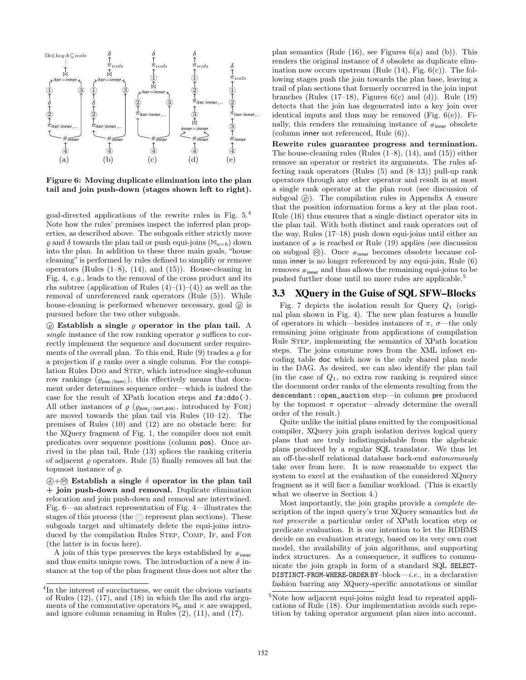

Figure 6: Moving duplicate elimination into the plan tail and join push-down (stages shown left to right).

goal-directed applications of the rewrite rules in Fig. 5.<sup>4</sup> Note how the rules' premises inspect the inferred plan properties, as described above. The subgoals either strictly move  $\rho$  and  $\delta$  towards the plan tail or push equi-joins ( $\mathbb{M}_{a=b}$ ) down into the plan. In addition to these three main goals, "house cleaning" is performed by rules defined to simplify or remove operators (Rules  $(1-8)$ ,  $(14)$ , and  $(15)$ ). House-cleaning in Fig. 4, e.g., leads to the removal of the cross product and its rhs subtree (application of Rules  $(4)-(1)-(4)$ ) as well as the removal of unreferenced rank operators (Rule (5)). While house-cleaning is performed whenever necessary, goal  $\varnothing$  is pursued before the two other subgoals.

 $\circledR$  Establish a single  $\varrho$  operator in the plan tail. A single instance of the row ranking operator  $\varrho$  suffices to correctly implement the sequence and document order requirements of the overall plan. To this end, Rule  $(9)$  trades a  $\rho$  for a projection if  $\rho$  ranks over a single column. For the compilation Rules DDO and STEP, which introduce single-column row rankings  $(\varrho_{\text{pos}:(item)})$ , this effectively means that document order determines sequence order—which is indeed the case for the result of XPath location steps and  $fs:ddo(\cdot)$ . All other instances of  $\varrho$  ( $\varrho_{\text{pos}_1:\text{sort},\text{pos}}$ ), introduced by FOR) are moved towards the plan tail via Rules (10–12). The premises of Rules (10) and (12) are no obstacle here: for the XQuery fragment of Fig. 1, the compiler does not emit predicates over sequence positions (column pos). Once arrived in the plan tail, Rule (13) splices the ranking criteria of adjacent  $\rho$  operators. Rule (5) finally removes all but the topmost instance of  $\rho$ .

 $(\delta) + \otimes$  Establish a single  $\delta$  operator in the plan tail + join push-down and removal. Duplicate elimination relocation and join push-down and removal are intertwined. Fig. 6—an abstract representation of Fig. 4—illustrates the stages of this process (the  $\bigcirc$  represent plan sections). These subgoals target and ultimately delete the equi-joins introduced by the compilation Rules STEP, COMP, IF, and FOR (the latter is in focus here).

A join of this type preserves the keys established by  $#_{inner}$ and thus emits unique rows. The introduction of a new  $\delta$  instance at the top of the plan fragment thus does not alter the plan semantics (Rule  $(16)$ , see Figures  $6(a)$  and  $(b)$ ). This renders the original instance of  $\delta$  obsolete as duplicate elimination now occurs upstream (Rule  $(14)$ , Fig.  $6(c)$ ). The following stages push the join towards the plan base, leaving a trail of plan sections that formerly occurred in the join input branches (Rules  $(17-18)$ , Figures  $6(c)$  and  $(d)$ ). Rule  $(19)$ detects that the join has degenerated into a key join over identical inputs and thus may be removed (Fig.  $6(e)$ ). Finally, this renders the remaining instance of  $\#_{inner}$  obsolete (column inner not referenced, Rule (6)).

Rewrite rules guarantee progress and termination. The house-cleaning rules (Rules  $(1-8)$ ,  $(14)$ , and  $(15)$ ) either remove an operator or restrict its arguments. The rules affecting rank operators (Rules  $(5)$  and  $(8-13)$ ) pull-up rank operators through any other operator and result in at most a single rank operator at the plan root (see discussion of subgoal  $\omega$ ). The compilation rules in Appendix A ensure that the position information forms a key at the plan root. Rule (16) thus ensures that a single distinct operator sits in the plan tail. With both distinct and rank operators out of the way, Rules (17–18) push down equi-joins until either an instance of  $\#$  is reached or Rule (19) applies (see discussion on subgoal  $\otimes$ ). Once  $\#_{inner}$  becomes obsolete because column inner is no longer referenced by any equi-join, Rule (6) removes  $\#_{\text{inner}}$  and thus allows the remaining equi-joins to be pushed further done until no more rules are applicable.<sup>5</sup>

#### 3.3 XQuery in the Guise of SQL SFW–Blocks

Fig. 7 depicts the isolation result for Query  $Q_1$  (original plan shown in Fig. 4). The new plan features a bundle of operators in which—besides instances of  $\pi$ ,  $\sigma$ —the only remaining joins originate from applications of compilation Rule Step, implementing the semantics of XPath location steps. The joins consume rows from the XML infoset encoding table doc which now is the only shared plan node in the DAG. As desired, we can also identify the plan tail (in the case of  $Q_1$ , no extra row ranking is required since the document order ranks of the elements resulting from the descendant::open\_auction step—in column pre produced by the topmost  $\pi$  operator—already determine the overall order of the result.)

Quite unlike the initial plans emitted by the compositional compiler, XQuery join graph isolation derives logical query plans that are truly indistinguishable from the algebraic plans produced by a regular SQL translator. We thus let an off-the-shelf relational database back-end autonomously take over from here. It is now reasonable to expect the system to excel at the evaluation of the considered XQuery fragment as it will face a familiar workload. (This is exactly what we observe in Section 4.)

Most importantly, the join graphs provide a complete description of the input query's true XQuery semantics but do not prescribe a particular order of XPath location step or predicate evaluation. It is our intention to let the RDBMS decide on an evaluation strategy, based on its very own cost model, the availability of join algorithms, and supporting index structures. As a consequence, it suffices to communicate the join graph in form of a standard SQL SELECT-DISTINCT-FROM-WHERE-ORDER BY-block—i.e., in a declarative fashion barring any XQuery-specific annotations or similar

<sup>&</sup>lt;sup>4</sup>In the interest of succinctness, we omit the obvious variants of Rules (12), (17), and (18) in which the lhs and rhs arguments of the commutative operators  $\mathbb{A}_p$  and  $\times$  are swapped, and ignore column renaming in Rules (2), (11), and (17).

<sup>5</sup>Note how adjacent equi-joins might lead to repeated applications of Rule (18). Our implementation avoids such repetition by taking operator argument plan sizes into account.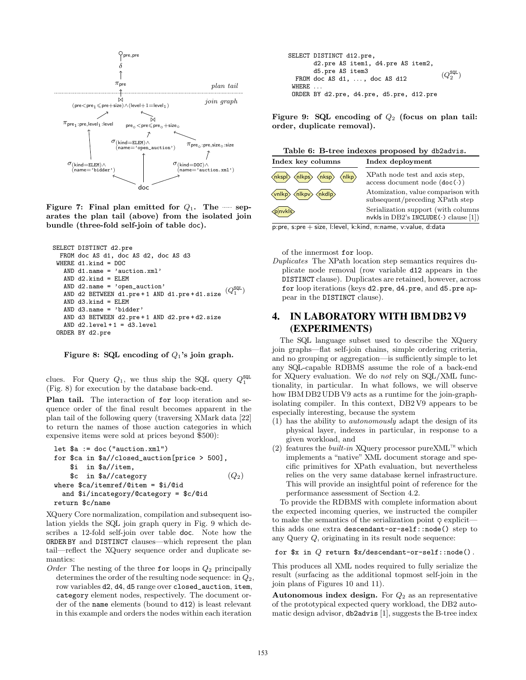

Figure 7: Final plan emitted for  $Q_1$ . The  $\equiv$  separates the plan tail (above) from the isolated join bundle (three-fold self-join of table doc).

```
SELECT DISTINCT d2.pre
 FROM doc AS d1, doc AS d2, doc AS d3
 WHERE d1.kind = DOC
   AND d1.name = 'auction.xml'
   AND d2.kind = ELEMAND d2.name = 'open_auction'
   AND d2 BETWEEN d1.pre + 1 AND d1.pre + d1.size
   AND d3.kind = ELEMAND d3.name = 'bidder'
   AND d3 BETWEEN d2.pre + 1 AND d2.pre + d2.size
   AND d2.level + 1 = d3.levelORDER BY d2.pre
                                                  (Q_1^{\tt SQL})
```
Figure 8: SQL encoding of  $Q_1$ 's join graph.

clues. For Query  $Q_1$ , we thus ship the SQL query  $Q_1^{\text{SQL}}$ (Fig. 8) for execution by the database back-end.

Plan tail. The interaction of for loop iteration and sequence order of the final result becomes apparent in the plan tail of the following query (traversing XMark data [22] to return the names of those auction categories in which expensive items were sold at prices beyond \$500):

```
let a := doc("auction.xml")for $ca in $a//closed_auction[price > 500],
    $i in $a//item,
    $c in $a//category
where $ca/itemref/@item = $i/@id
  and $i/incategory/@category = $c/@id
return $c/name
                                           (Q_2)
```
XQuery Core normalization, compilation and subsequent isolation yields the SQL join graph query in Fig. 9 which describes a 12-fold self-join over table doc. Note how the ORDER BY and DISTINCT clauses—which represent the plan tail—reflect the XQuery sequence order and duplicate semantics:

Order The nesting of the three for loops in  $Q_2$  principally determines the order of the resulting node sequence: in  $Q_2$ , row variables d2, d4, d5 range over closed\_auction, item, category element nodes, respectively. The document order of the name elements (bound to d12) is least relevant in this example and orders the nodes within each iteration

```
SELECT DISTINCT d12.pre,
       d2.pre AS item1, d4.pre AS item2,
       d5.pre AS item3
  FROM doc AS d1, ..., doc AS d12
 WHERE
 ORDER BY d2.pre, d4.pre, d5.pre, d12.pre
                                              (Q_2^{\tt SQL})
```
Figure 9: SQL encoding of  $Q_2$  (focus on plan tail: order, duplicate removal).

Table 6: B-tree indexes proposed by db2advis.



p:pre, s:pre + size, l:level, k:kind, n:name, v:value, d:data

of the innermost for loop.

Duplicates The XPath location step semantics requires duplicate node removal (row variable d12 appears in the DISTINCT clause). Duplicates are retained, however, across for loop iterations (keys d2.pre, d4.pre, and d5.pre appear in the DISTINCT clause).

# 4. IN LABORATORY WITH IBM DB2 V9 (EXPERIMENTS)

The SQL language subset used to describe the XQuery join graphs—flat self-join chains, simple ordering criteria, and no grouping or aggregation—is sufficiently simple to let any SQL-capable RDBMS assume the role of a back-end for XQuery evaluation. We do not rely on SQL/XML functionality, in particular. In what follows, we will observe how IBM DB2 UDB V9 acts as a runtime for the join-graphisolating compiler. In this context, DB2 V9 appears to be especially interesting, because the system

- (1) has the ability to autonomously adapt the design of its physical layer, indexes in particular, in response to a given workload, and
- (2) features the *built-in* XQuery processor pureXML<sup>™</sup> which implements a "native" XML document storage and specific primitives for XPath evaluation, but nevertheless relies on the very same database kernel infrastructure. This will provide an insightful point of reference for the performance assessment of Section 4.2.

To provide the RDBMS with complete information about the expected incoming queries, we instructed the compiler to make the semantics of the serialization point  $\circ$  explicit this adds one extra descendant-or-self::node() step to any Query Q, originating in its result node sequence:

#### for  $x$  in  $Q$  return  $x/d$ escendant-or-self::node().

This produces all XML nodes required to fully serialize the result (surfacing as the additional topmost self-join in the join plans of Figures 10 and 11).

Autonomous index design. For  $Q_2$  as an representative of the prototypical expected query workload, the DB2 automatic design advisor, db2advis [1], suggests the B-tree index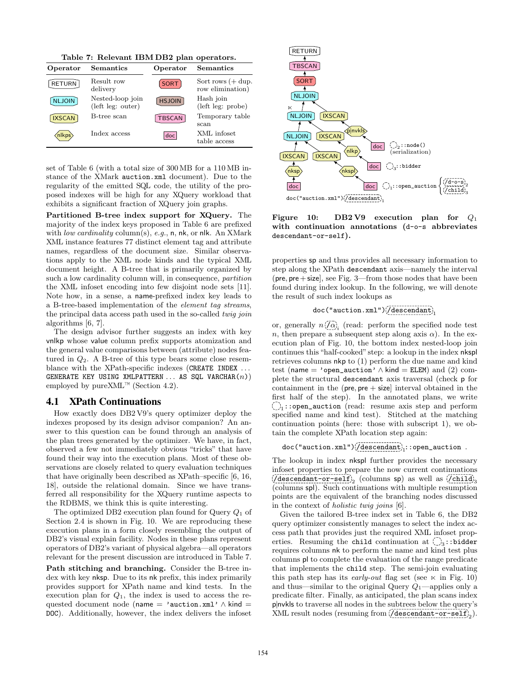

set of Table 6 (with a total size of 300 MB for a 110 MB instance of the XMark auction.xml document). Due to the regularity of the emitted SQL code, the utility of the proposed indexes will be high for any XQuery workload that exhibits a significant fraction of XQuery join graphs.

Partitioned B-tree index support for XQuery. The majority of the index keys proposed in Table 6 are prefixed with *low cardinality* column(s),  $e.g., \, n, \, nk, \, or \, nlk.$  An XMark XML instance features 77 distinct element tag and attribute names, regardless of the document size. Similar observations apply to the XML node kinds and the typical XML document height. A B-tree that is primarily organized by such a low cardinality column will, in consequence, partition the XML infoset encoding into few disjoint node sets [11]. Note how, in a sense, a name-prefixed index key leads to a B-tree-based implementation of the element tag streams, the principal data access path used in the so-called twig join algorithms [6, 7].

The design advisor further suggests an index with key vnlkp whose value column prefix supports atomization and the general value comparisons between (attribute) nodes featured in  $Q_2$ . A B-tree of this type bears some close resemblance with the XPath-specific indexes (CREATE INDEX ... GENERATE KEY USING XMLPATTERN ... AS SQL VARCHAR $(n)$ ) employed by  $pureXML^{\pi}$  (Section 4.2).

## 4.1 XPath Continuations

How exactly does DB2 V9's query optimizer deploy the indexes proposed by its design advisor companion? An answer to this question can be found through an analysis of the plan trees generated by the optimizer. We have, in fact, observed a few not immediately obvious "tricks" that have found their way into the execution plans. Most of these observations are closely related to query evaluation techniques that have originally been described as XPath–specific [6, 16, 18], outside the relational domain. Since we have transferred all responsibility for the XQuery runtime aspects to the RDBMS, we think this is quite interesting.

The optimized DB2 execution plan found for Query  $Q_1$  of Section 2.4 is shown in Fig. 10. We are reproducing these execution plans in a form closely resembling the output of DB2's visual explain facility. Nodes in these plans represent operators of DB2's variant of physical algebra—all operators relevant for the present discussion are introduced in Table 7.

Path stitching and branching. Consider the B-tree index with key nksp. Due to its nk prefix, this index primarily provides support for XPath name and kind tests. In the execution plan for  $Q_1$ , the index is used to access the requested document node (name = 'auction.xml' ∧ kind = DOC). Additionally, however, the index delivers the infoset



Figure 10: DB2 V9 execution plan for  $Q_1$ with continuation annotations (d-o-s abbreviates descendant-or-self).

properties sp and thus provides all necessary information to step along the XPath descendant axis—namely the interval ( $pre, pre+size$ ), see Fig. 3—from those nodes that have been found during index lookup. In the following, we will denote the result of such index lookups as

# doc("auction.xml") (/descendant)

or, generally  $n(\underline{\Lambda})$  (read: perform the specified node test n, then prepare a subsequent step along axis  $\alpha$ ). In the execution plan of Fig. 10, the bottom index nested-loop join continues this "half-cooked" step: a lookup in the index nkspl retrieves columns nkp to (1) perform the due name and kind test (name = 'open\_auction'  $\land$  kind = ELEM) and (2) complete the structural descendant axis traversal (check p for containment in the  $(pre, pre + size]$  interval obtained in the first half of the step). In the annotated plans, we write  $[$ <sub>1</sub>::open\_auction (read: resume axis step and perform specified name and kind test). Stitched at the matching continuation points (here: those with subscript 1), we obtain the complete XPath location step again:

$$
\verb"doc("auction.xml") {\overline{(\underbrace{\text{descendant}})}_1}: open\_auction\;.
$$

The lookup in index nkspl further provides the necessary infoset properties to prepare the now current continuations  $\mathcal{L}$ descendant-or-self $\rangle_2$  (columns sp) as well as  $(\mathcal{L}\text{child})_3$ (columns spl). Such continuations with multiple resumption points are the equivalent of the branching nodes discussed in the context of holistic twig joins [6].

Given the tailored B-tree index set in Table 6, the DB2 query optimizer consistently manages to select the index access path that provides just the required XML infoset properties. Resuming the child continuation at  $\bigcirc_{3}$ : bidder requires columns nk to perform the name and kind test plus columns pl to complete the evaluation of the range predicate that implements the child step. The semi-join evaluating this path step has its *early-out* flag set (see  $\times$  in Fig. 10) and thus—similar to the original Query  $Q_1$ —applies only a predicate filter. Finally, as anticipated, the plan scans index p|nvkls to traverse all nodes in the subtrees below the query's  $\text{XML result nodes (resuming from } \langle \texttt{descendant-or-self} \rangle_2).$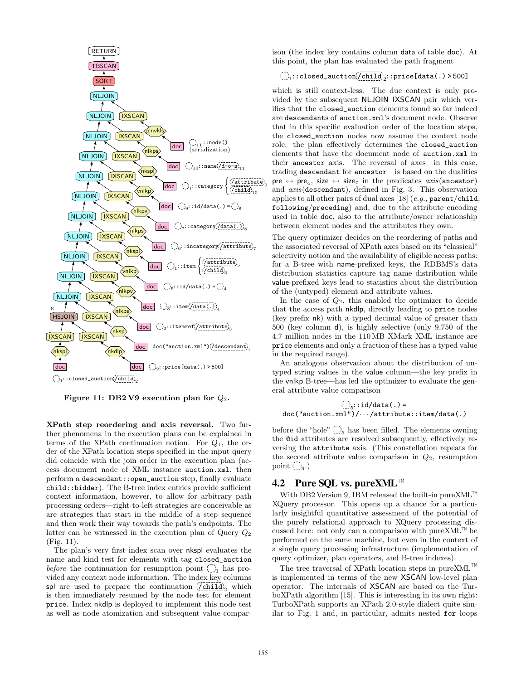

Figure 11: DB2 V9 execution plan for  $Q_2$ .

XPath step reordering and axis reversal. Two further phenomena in the execution plans can be explained in terms of the XPath continuation notion. For  $Q_1$ , the order of the XPath location steps specified in the input query did coincide with the join order in the execution plan (access document node of XML instance auction.xml, then perform a descendant::open\_auction step, finally evaluate child::bidder). The B-tree index entries provide sufficient context information, however, to allow for arbitrary path processing orders—right-to-left strategies are conceivable as are strategies that start in the middle of a step sequence and then work their way towards the path's endpoints. The latter can be witnessed in the execution plan of Query  $Q_2$ (Fig. 11).

The plan's very first index scan over nkspl evaluates the name and kind test for elements with tag closed\_auction before the continuation for resumption point  $\bigcirc$ <sub>1</sub> has provided any context node information. The index key columns spl are used to prepare the continuation  $\sqrt{(child)}$  which is then immediately resumed by the node test for element price. Index nkdlp is deployed to implement this node test as well as node atomization and subsequent value comparison (the index key contains column data of table doc). At this point, the plan has evaluated the path fragment

 $\mathcal{C}_1$ ::closed\_auction $\langle \underline{\text{child}} \rangle_2$ ::price[data(.)>500]

which is still context-less. The due context is only provided by the subsequent NLJOIN–IXSCAN pair which verifies that the closed\_auction elements found so far indeed are descendants of auction.xml's document node. Observe that in this specific evaluation order of the location steps, the closed\_auction nodes now assume the context node role: the plan effectively determines the closed\_auction elements that have the document node of auction.xml in their ancestor axis. The reversal of axes—in this case, trading descendant for ancestor—is based on the dualities  $\mathsf{pre} \leftrightarrow \mathsf{pre}_\circ$ , size  $\leftrightarrow$  size $_\circ$  in the predicates  $axis(\texttt{ancestor})$ and axis(descendant), defined in Fig. 3. This observation applies to all other pairs of dual axes [18]  $(e.g.,$  parent/child following/preceding) and, due to the attribute encoding used in table doc, also to the attribute/owner relationship between element nodes and the attributes they own.

The query optimizer decides on the reordering of paths and the associated reversal of XPath axes based on its "classical" selectivity notion and the availability of eligible access paths: for a B-tree with name-prefixed keys, the RDBMS's data distribution statistics capture tag name distribution while value-prefixed keys lead to statistics about the distribution of the (untyped) element and attribute values.

In the case of  $Q_2$ , this enabled the optimizer to decide that the access path nkdlp, directly leading to price nodes (key prefix nk) with a typed decimal value of greater than 500 (key column d), is highly selective (only 9,750 of the 4.7 million nodes in the 110 MB XMark XML instance are price elements and only a fraction of these has a typed value in the required range).

An analogous observation about the distribution of untyped string values in the value column—the key prefix in the vnlkp B-tree—has led the optimizer to evaluate the general attribute value comparison

$$
\bigcirc_{5}: \texttt{id/data(.)} = \\ \texttt{doc("auction.xml")}/ \cdots / \texttt{attribute::item/data(.)}
$$

before the "hole"  $\bigcirc_5$  has been filled. The elements owning the @id attributes are resolved subsequently, effectively reversing the attribute axis. (This constellation repeats for the second attribute value comparison in  $Q_2$ , resumption point  $\left(\begin{smallmatrix} 0 \\ 0 \end{smallmatrix}\right)$ 

## 4.2 Pure SQL vs. pureXML™

With DB2 Version 9, IBM released the built-in pureXML™ XQuery processor. This opens up a chance for a particularly insightful quantitative assessment of the potential of the purely relational approach to XQuery processing discussed here: not only can a comparison with pureXML™ be performed on the same machine, but even in the context of a single query processing infrastructure (implementation of query optimizer, plan operators, and B-tree indexes).

The tree traversal of XPath location steps in pure $XML$ <sup> $|M$ </sup> is implemented in terms of the new XSCAN low-level plan operator. The internals of XSCAN are based on the TurboXPath algorithm [15]. This is interesting in its own right: TurboXPath supports an XPath 2.0-style dialect quite similar to Fig. 1 and, in particular, admits nested for loops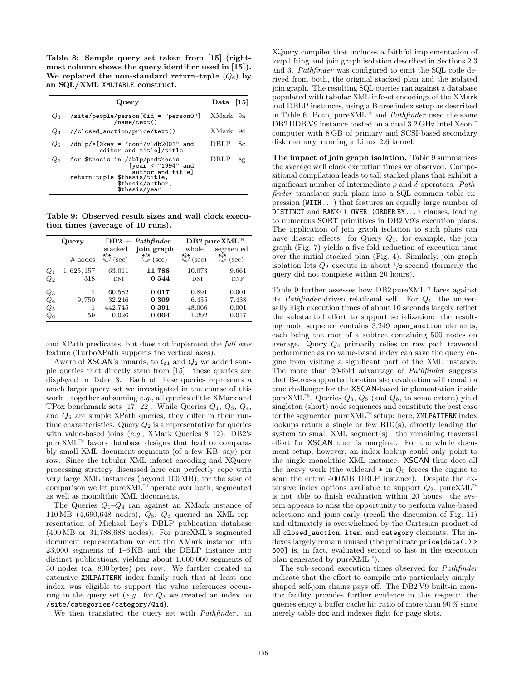Table 8: Sample query set taken from [15] (rightmost column shows the query identifier used in [15]). We replaced the non-standard return-tuple  $(Q_6)$  by an SQL/XML XMLTABLE construct.

|       | $\mathbf{Data}$<br><u> 15 </u>                                                                                                                      |            |
|-------|-----------------------------------------------------------------------------------------------------------------------------------------------------|------------|
|       | $Q_3$ /site/people/person[@id = "person0"]<br>/name/text()                                                                                          | XMark 9a   |
| $Q_4$ | //closed_auction/price/text()                                                                                                                       | XMark 9c   |
| $Q_5$ | $/dblp/*$ [@key = "conf/vldb2001" and<br>editor and title]/title                                                                                    | DBLP<br>8с |
| Q6    | for \$thesis in /dblp/phdthesis<br>[year $\lt$ "1994" and<br>author and title]<br>return-tuple \$thesis/title,<br>\$thesis/author,<br>\$thesis/year | DBLP<br>8g |

Table 9: Observed result sizes and wall clock execution times (average of 10 runs).

|                    | Query      |                      | $DB2 + Path finder$         | $DB2$ pure XML <sup>™</sup> |                            |
|--------------------|------------|----------------------|-----------------------------|-----------------------------|----------------------------|
|                    | $\#$ nodes | stacked<br>٥<br>sec) | join graph<br>٣<br>$(\sec)$ | whole<br>٣<br>$(\sec)$      | segmented<br>٩<br>$(\sec)$ |
|                    |            |                      |                             |                             |                            |
| $Q_1$              | 1,625,157  | 63.011               | 11.788                      | 10.073                      | 9.661                      |
| $\scriptstyle Q_2$ | 318        | <b>DNF</b>           | 0.544                       | DNF                         | <b>DNF</b>                 |
| $Q_3$              |            | 60.582               | 0.017                       | 0.891                       | 0.001                      |
| $\scriptstyle Q_4$ | 9,750      | 32.246               | 0.309                       | 6.455                       | 7.438                      |
| $\scriptstyle Q_5$ |            | 442.745              | 0.391                       | 48.066                      | 0.001                      |
| $\,Q_6$            | 59         | 0.026                | 0.004                       | 1.292                       | 0.017                      |

and XPath predicates, but does not implement the full axis feature (TurboXPath supports the vertical axes).

Aware of XSCAN's innards, to  $Q_1$  and  $Q_2$  we added sample queries that directly stem from [15]—these queries are displayed in Table 8. Each of these queries represents a much larger query set we investigated in the course of this work—together subsuming e.g., all queries of the XMark and TPox benchmark sets [17, 22]. While Queries  $Q_1$ ,  $Q_3$ ,  $Q_4$ , and  $Q_5$  are simple XPath queries, they differ in their runtime characteristics. Query  $Q_2$  is a representative for queries with value-based joins (e.g., XMark Queries 8–12). DB2's pureXML™ favors database designs that lead to comparably small XML document segments (of a few KB, say) per row. Since the tabular XML infoset encoding and XQuery processing strategy discussed here can perfectly cope with very large XML instances (beyond 100 MB), for the sake of comparison we let pureXML™ operate over both, segmented as well as monolithic XML documents.

The Queries  $Q_1-Q_4$  ran against an XMark instance of 110 MB (4,690,648 nodes), Q5, Q<sup>6</sup> queried an XML representation of Michael Ley's DBLP publication database (400 MB or 31,788,688 nodes). For pureXML's segmented document representation we cut the XMark instance into 23,000 segments of 1–6 KB and the DBLP instance into distinct publications, yielding about 1,000,000 segments of 30 nodes (ca. 800 bytes) per row. We further created an extensive XMLPATTERN index family such that at least one index was eligible to support the value references occurring in the query set  $(e.g., for Q_3$  we created an index on /site/categories/category/@id).

We then translated the query set with *Pathfinder*, an

XQuery compiler that includes a faithful implementation of loop lifting and join graph isolation described in Sections 2.3 and 3. Pathfinder was configured to emit the SQL code derived from both, the original stacked plan and the isolated join graph. The resulting SQL queries ran against a database populated with tabular XML infoset encodings of the XMark and DBLP instances, using a B-tree index setup as described in Table 6. Both, pure $XML^{\mathbb{N}}$  and *Pathfinder* used the same DB2 UDB V9 instance hosted on a dual 3.2 GHz Intel Xeon™ computer with 8 GB of primary and SCSI-based secondary disk memory, running a Linux 2.6 kernel.

The impact of join graph isolation. Table 9 summarizes the average wall clock execution times we observed. Compositional compilation leads to tall stacked plans that exhibit a significant number of intermediate  $\varrho$  and  $\delta$  operators. Pathfinder translates such plans into a SQL common table expression (WITH . . .) that features an equally large number of DISTINCT and RANK() OVER (ORDER BY . . . ) clauses, leading to numerous SORT primitives in DB2 V9's execution plans. The application of join graph isolation to such plans can have drastic effects: for Query  $Q_1$ , for example, the join graph (Fig. 7) yields a five-fold reduction of execution time over the initial stacked plan (Fig. 4). Similarly, join graph isolation lets  $Q_2$  execute in about  $1/2$  second (formerly the query did not complete within 20 hours).

Table 9 further assesses how DB2 pure $XML^{\pi}$  fares against its *Pathfinder*-driven relational self. For  $Q_1$ , the universally high execution times of about 10 seconds largely reflect the substantial effort to support serialization: the resulting node sequence contains 3,249 open\_auction elements, each being the root of a subtree containing 500 nodes on average. Query  $Q_4$  primarily relies on raw path traversal performance as no value-based index can save the query engine from visiting a significant part of the XML instance. The more than 20-fold advantage of Pathfinder suggests that B-tree-supported location step evaluation will remain a true challenger for the XSCAN-based implementation inside pureXML™. Queries  $Q_3$ ,  $Q_5$  (and  $Q_6$ , to some extent) yield singleton (short) node sequences and constitute the best case for the segmented pure $\text{XML}^{\text{TM}}$  setup: here, XMLPATTERN index lookups return a single or few RID(s), directly leading the system to small XML segment(s)—the remaining traversal effort for XSCAN then is marginal. For the whole document setup, however, an index lookup could only point to the single monolithic XML instance: XSCAN thus does all the heavy work (the wildcard  $*$  in  $Q_5$  forces the engine to scan the entire 400 MB DBLP instance). Despite the extensive index options available to support  $Q_2$ , pureXML<sup>™</sup> is not able to finish evaluation within 20 hours: the system appears to miss the opportunity to perform value-based selections and joins early (recall the discussion of Fig. 11) and ultimately is overwhelmed by the Cartesian product of all closed\_auction, item, and category elements. The indexes largely remain unused (the predicate price[data(.) > 500] is, in fact, evaluated second to last in the execution plan generated by  $pure XML^{\mathsf{TM}}$ .

The sub-second execution times observed for Pathfinder indicate that the effort to compile into particularly simplyshaped self-join chains pays off. The DB2 V9 built-in monitor facility provides further evidence in this respect: the queries enjoy a buffer cache hit ratio of more than 90 % since merely table doc and indexes fight for page slots.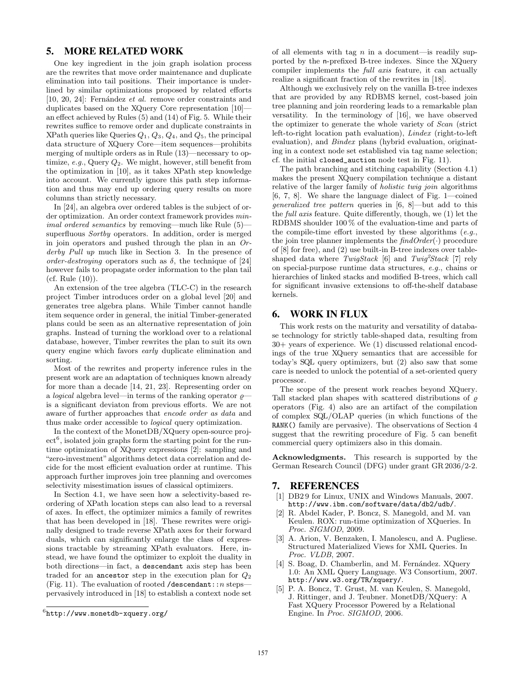## 5. MORE RELATED WORK

One key ingredient in the join graph isolation process are the rewrites that move order maintenance and duplicate elimination into tail positions. Their importance is underlined by similar optimizations proposed by related efforts [10, 20, 24]: Fernández et al. remove order constraints and duplicates based on the XQuery Core representation [10] an effect achieved by Rules (5) and (14) of Fig. 5. While their rewrites suffice to remove order and duplicate constraints in XPath queries like Queries  $Q_1, Q_3, Q_4$ , and  $Q_5$ , the principal data structure of XQuery Core—item sequences—prohibits merging of multiple orders as in Rule (13)—necessary to optimize, e.g., Query  $Q_2$ . We might, however, still benefit from the optimization in [10], as it takes XPath step knowledge into account. We currently ignore this path step information and thus may end up ordering query results on more columns than strictly necessary.

In [24], an algebra over ordered tables is the subject of order optimization. An order context framework provides minimal ordered semantics by removing—much like Rule  $(5)$  superfluous Sortby operators. In addition, order is merged in join operators and pushed through the plan in an  $Or$ derby Pull up much like in Section 3. In the presence of order-destroying operators such as  $\delta$ , the technique of [24] however fails to propagate order information to the plan tail (cf. Rule (10)).

An extension of the tree algebra (TLC-C) in the research project Timber introduces order on a global level [20] and generates tree algebra plans. While Timber cannot handle item sequence order in general, the initial Timber-generated plans could be seen as an alternative representation of join graphs. Instead of turning the workload over to a relational database, however, Timber rewrites the plan to suit its own query engine which favors early duplicate elimination and sorting.

Most of the rewrites and property inference rules in the present work are an adaptation of techniques known already for more than a decade [14, 21, 23]. Representing order on a *logical* algebra level—in terms of the ranking operator  $\rho$  is a significant deviaton from previous efforts. We are not aware of further approaches that encode order as data and thus make order accessible to logical query optimization.

In the context of the MonetDB/XQuery open-source project<sup>6</sup>, isolated join graphs form the starting point for the runtime optimization of XQuery expressions [2]: sampling and "zero-investment" algorithms detect data correlation and decide for the most efficient evaluation order at runtime. This approach further improves join tree planning and overcomes selectivity misestimation issues of classical optimizers.

In Section 4.1, we have seen how a selectivity-based reordering of XPath location steps can also lead to a reversal of axes. In effect, the optimizer mimics a family of rewrites that has been developed in [18]. These rewrites were originally designed to trade reverse XPath axes for their forward duals, which can significantly enlarge the class of expressions tractable by streaming XPath evaluators. Here, instead, we have found the optimizer to exploit the duality in both directions—in fact, a descendant axis step has been traded for an ancestor step in the execution plan for  $Q_2$ (Fig. 11). The evaluation of rooted /descendant::  $n$  stepspervasively introduced in [18] to establish a context node set of all elements with tag  $n$  in a document—is readily supported by the n-prefixed B-tree indexes. Since the XQuery compiler implements the full axis feature, it can actually realize a significant fraction of the rewrites in [18].

Although we exclusively rely on the vanilla B-tree indexes that are provided by any RDBMS kernel, cost-based join tree planning and join reordering leads to a remarkable plan versatility. In the terminology of [16], we have observed the optimizer to generate the whole variety of Scan (strict left-to-right location path evaluation), Lindex (right-to-left evaluation), and Bindex plans (hybrid evaluation, originating in a context node set established via tag name selection; cf. the initial closed\_auction node test in Fig. 11).

The path branching and stitching capability (Section 4.1) makes the present XQuery compilation technique a distant relative of the larger family of *holistic twig join* algorithms [6, 7, 8]. We share the language dialect of Fig. 1—coined generalized tree pattern queries in [6, 8]—but add to this the full axis feature. Quite differently, though, we (1) let the RDBMS shoulder 100 % of the evaluation-time and parts of the compile-time effort invested by these algorithms  $(e.g.,$ the join tree planner implements the  $findOrder(\cdot)$  procedure of [8] for free), and (2) use built-in B-tree indexes over tableshaped data where  $TwigStack$  [6] and  $Twig<sup>2</sup>Stack$  [7] rely on special-purpose runtime data structures, e.g., chains or hierarchies of linked stacks and modified B-trees, which call for significant invasive extensions to off-the-shelf database kernels.

## 6. WORK IN FLUX

This work rests on the maturity and versatility of database technology for strictly table-shaped data, resulting from 30+ years of experience. We (1) discussed relational encodings of the true XQuery semantics that are accessible for today's SQL query optimizers, but (2) also saw that some care is needed to unlock the potential of a set-oriented query processor.

The scope of the present work reaches beyond XQuery. Tall stacked plan shapes with scattered distributions of  $\rho$ operators (Fig. 4) also are an artifact of the compilation of complex SQL/OLAP queries (in which functions of the RANK() family are pervasive). The observations of Section 4 suggest that the rewriting procedure of Fig. 5 can benefit commercial query optimizers also in this domain.

Acknowledgments. This research is supported by the German Research Council (DFG) under grant GR 2036/2-2.

#### 7. REFERENCES

- [1] DB2 9 for Linux, UNIX and Windows Manuals, 2007. http://www.ibm.com/software/data/db2/udb/.
- [2] R. Abdel Kader, P. Boncz, S. Manegold, and M. van Keulen. ROX: run-time optimization of XQueries. In Proc. SIGMOD, 2009.
- [3] A. Arion, V. Benzaken, I. Manolescu, and A. Pugliese. Structured Materialized Views for XML Queries. In Proc. VLDB, 2007.
- [4] S. Boag, D. Chamberlin, and M. Fernández. XQuery 1.0: An XML Query Language. W3 Consortium, 2007. http://www.w3.org/TR/xquery/.
- [5] P. A. Boncz, T. Grust, M. van Keulen, S. Manegold, J. Rittinger, and J. Teubner. MonetDB/XQuery: A Fast XQuery Processor Powered by a Relational Engine. In Proc. SIGMOD, 2006.

 $^6$ http://www.monetdb-xquery.org/